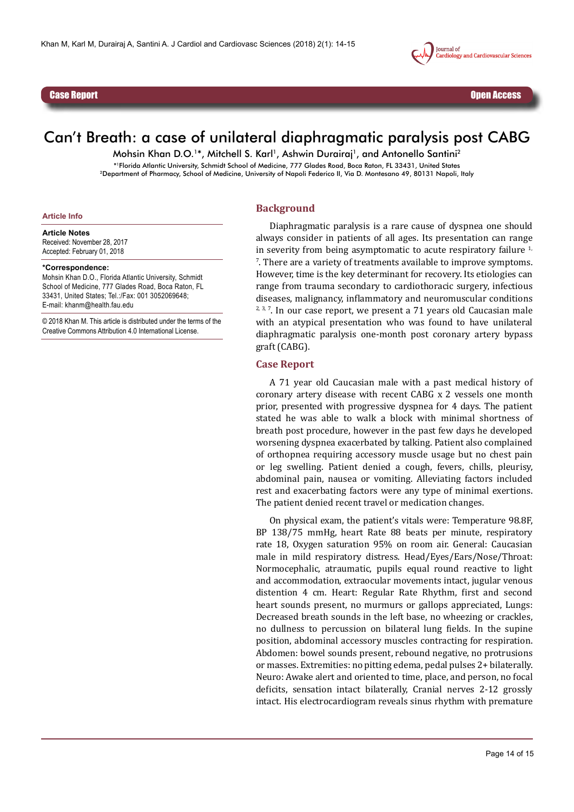

Case Report

l



# Can't Breath: a case of unilateral diaphragmatic paralysis post CABG

Mohsin Khan D.O.<sup>1\*</sup>, Mitchell S. Karl<sup>1</sup>, Ashwin Durairaj<sup>1</sup>, and Antonello Santini<sup>2</sup> \*1Florida Atlantic University, Schmidt School of Medicine, 777 Glades Road, Boca Raton, FL 33431, United States 2Department of Pharmacy, School of Medicine, University of Napoli Federico II, Via D. Montesano 49, 80131 Napoli, Italy

## **Background**

**Article Info**

**Article Notes** Received: November 28, 2017 Accepted: February 01, 2018

#### **\*Correspondence:**

Mohsin Khan D.O., Florida Atlantic University, Schmidt School of Medicine, 777 Glades Road, Boca Raton, FL 33431, United States; Tel.:/Fax: 001 3052069648; E-mail: khanm@health.fau.edu

© 2018 Khan M. This article is distributed under the terms of the Creative Commons Attribution 4.0 International License.

Diaphragmatic paralysis is a rare cause of dyspnea one should always consider in patients of all ages. Its presentation can range in severity from being asymptomatic to acute respiratory failure  $1$ , 7 . There are a variety of treatments available to improve symptoms. However, time is the key determinant for recovery. Its etiologies can range from trauma secondary to cardiothoracic surgery, infectious diseases, malignancy, inflammatory and neuromuscular conditions  $2, 3, 7$ . In our case report, we present a 71 years old Caucasian male with an atypical presentation who was found to have unilateral diaphragmatic paralysis one-month post coronary artery bypass graft (CABG).

### **Case Report**

A 71 year old Caucasian male with a past medical history of coronary artery disease with recent CABG x 2 vessels one month prior, presented with progressive dyspnea for 4 days. The patient stated he was able to walk a block with minimal shortness of breath post procedure, however in the past few days he developed worsening dyspnea exacerbated by talking. Patient also complained of orthopnea requiring accessory muscle usage but no chest pain or leg swelling. Patient denied a cough, fevers, chills, pleurisy, abdominal pain, nausea or vomiting. Alleviating factors included rest and exacerbating factors were any type of minimal exertions. The patient denied recent travel or medication changes.

On physical exam, the patient's vitals were: Temperature 98.8F, BP 138/75 mmHg, heart Rate 88 beats per minute, respiratory rate 18, Oxygen saturation 95% on room air. General: Caucasian male in mild respiratory distress. Head/Eyes/Ears/Nose/Throat: Normocephalic, atraumatic, pupils equal round reactive to light and accommodation, extraocular movements intact, jugular venous distention 4 cm. Heart: Regular Rate Rhythm, first and second heart sounds present, no murmurs or gallops appreciated, Lungs: Decreased breath sounds in the left base, no wheezing or crackles, no dullness to percussion on bilateral lung fields. In the supine position, abdominal accessory muscles contracting for respiration. Abdomen: bowel sounds present, rebound negative, no protrusions or masses. Extremities: no pitting edema, pedal pulses 2+ bilaterally. Neuro: Awake alert and oriented to time, place, and person, no focal deficits, sensation intact bilaterally, Cranial nerves 2-12 grossly intact. His electrocardiogram reveals sinus rhythm with premature